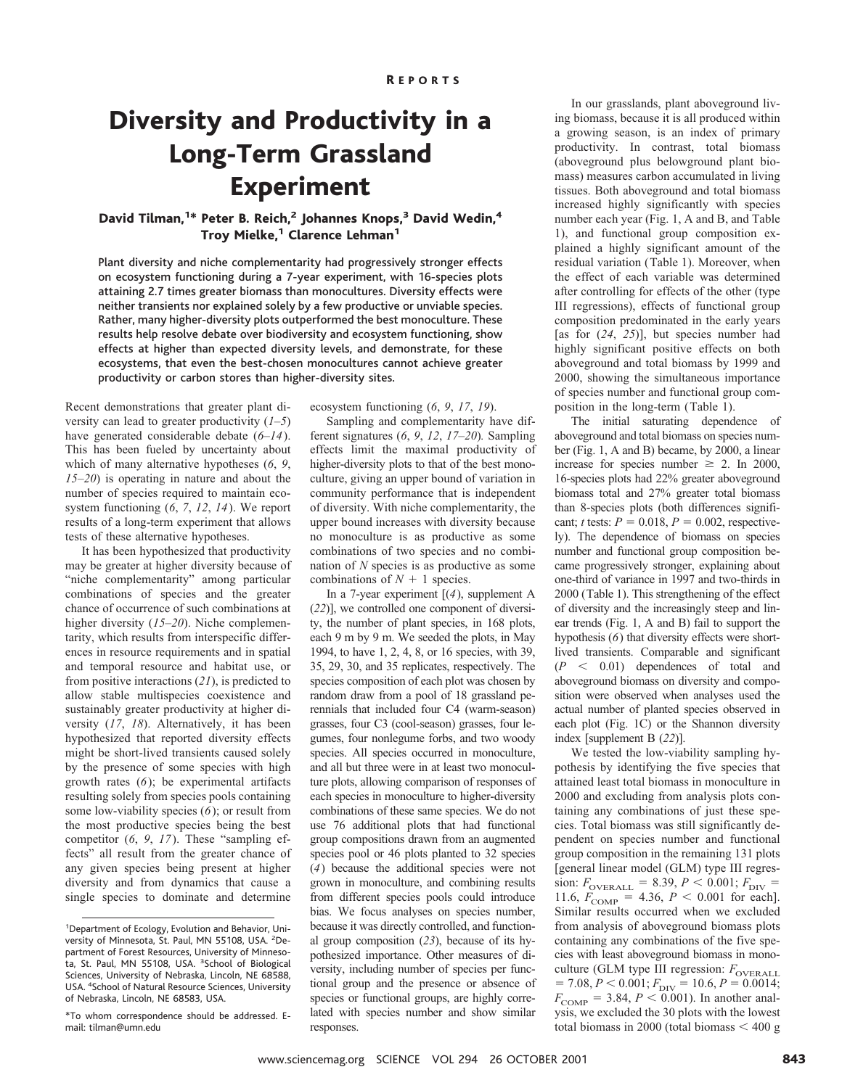## Diversity and Productivity in a Long-Term Grassland Experiment

## David Tilman,<sup>1\*</sup> Peter B. Reich,<sup>2</sup> Johannes Knops,<sup>3</sup> David Wedin,<sup>4</sup> Troy Mielke,<sup>1</sup> Clarence Lehman<sup>1</sup>

Plant diversity and niche complementarity had progressively stronger effects on ecosystem functioning during a 7-year experiment, with 16-species plots attaining 2.7 times greater biomass than monocultures. Diversity effects were neither transients nor explained solely by a few productive or unviable species. Rather, many higher-diversity plots outperformed the best monoculture. These results help resolve debate over biodiversity and ecosystem functioning, show effects at higher than expected diversity levels, and demonstrate, for these ecosystems, that even the best-chosen monocultures cannot achieve greater productivity or carbon stores than higher-diversity sites.

Recent demonstrations that greater plant diversity can lead to greater productivity (*1*–*5*) have generated considerable debate (*6*–*14*). This has been fueled by uncertainty about which of many alternative hypotheses (*6*, *9*, *15*–*20*) is operating in nature and about the number of species required to maintain ecosystem functioning (*6*, *7*, *12*, *14*). We report results of a long-term experiment that allows tests of these alternative hypotheses.

It has been hypothesized that productivity may be greater at higher diversity because of "niche complementarity" among particular combinations of species and the greater chance of occurrence of such combinations at higher diversity (*15*–*20*). Niche complementarity, which results from interspecific differences in resource requirements and in spatial and temporal resource and habitat use, or from positive interactions (*21*), is predicted to allow stable multispecies coexistence and sustainably greater productivity at higher diversity (*17*, *18*). Alternatively, it has been hypothesized that reported diversity effects might be short-lived transients caused solely by the presence of some species with high growth rates (*6*); be experimental artifacts resulting solely from species pools containing some low-viability species (*6*); or result from the most productive species being the best competitor (*6*, *9*, *17*). These "sampling effects" all result from the greater chance of any given species being present at higher diversity and from dynamics that cause a single species to dominate and determine

ecosystem functioning (*6*, *9*, *17*, *19*).

Sampling and complementarity have different signatures (*6*, *9*, *12*, *17*–*20*)*.* Sampling effects limit the maximal productivity of higher-diversity plots to that of the best monoculture, giving an upper bound of variation in community performance that is independent of diversity. With niche complementarity, the upper bound increases with diversity because no monoculture is as productive as some combinations of two species and no combination of *N* species is as productive as some combinations of  $N + 1$  species.

In a 7-year experiment [(*4*), supplement A (*22*)], we controlled one component of diversity, the number of plant species, in 168 plots, each 9 m by 9 m. We seeded the plots, in May 1994, to have 1, 2, 4, 8, or 16 species, with 39, 35, 29, 30, and 35 replicates, respectively. The species composition of each plot was chosen by random draw from a pool of 18 grassland perennials that included four C4 (warm-season) grasses, four C3 (cool-season) grasses, four legumes, four nonlegume forbs, and two woody species. All species occurred in monoculture, and all but three were in at least two monoculture plots, allowing comparison of responses of each species in monoculture to higher-diversity combinations of these same species. We do not use 76 additional plots that had functional group compositions drawn from an augmented species pool or 46 plots planted to 32 species (*4*) because the additional species were not grown in monoculture, and combining results from different species pools could introduce bias. We focus analyses on species number, because it was directly controlled, and functional group composition (*23*), because of its hypothesized importance. Other measures of diversity, including number of species per functional group and the presence or absence of species or functional groups, are highly correlated with species number and show similar responses.

In our grasslands, plant aboveground living biomass, because it is all produced within a growing season, is an index of primary productivity. In contrast, total biomass (aboveground plus belowground plant biomass) measures carbon accumulated in living tissues. Both aboveground and total biomass increased highly significantly with species number each year (Fig. 1, A and B, and Table 1), and functional group composition explained a highly significant amount of the residual variation (Table 1). Moreover, when the effect of each variable was determined after controlling for effects of the other (type III regressions), effects of functional group composition predominated in the early years [as for (*24*, *25*)], but species number had highly significant positive effects on both aboveground and total biomass by 1999 and 2000, showing the simultaneous importance of species number and functional group composition in the long-term (Table 1).

The initial saturating dependence of aboveground and total biomass on species number (Fig. 1, A and B) became, by 2000, a linear increase for species number  $\geq$  2. In 2000, 16-species plots had 22% greater aboveground biomass total and 27% greater total biomass than 8-species plots (both differences significant; *t* tests:  $P = 0.018$ ,  $P = 0.002$ , respectively). The dependence of biomass on species number and functional group composition became progressively stronger, explaining about one-third of variance in 1997 and two-thirds in 2000 (Table 1). This strengthening of the effect of diversity and the increasingly steep and linear trends (Fig. 1, A and B) fail to support the hypothesis (*6*) that diversity effects were shortlived transients. Comparable and significant  $(P < 0.01)$  dependences of total and aboveground biomass on diversity and composition were observed when analyses used the actual number of planted species observed in each plot (Fig. 1C) or the Shannon diversity index [supplement B (*22*)].

We tested the low-viability sampling hypothesis by identifying the five species that attained least total biomass in monoculture in 2000 and excluding from analysis plots containing any combinations of just these species. Total biomass was still significantly dependent on species number and functional group composition in the remaining 131 plots [general linear model (GLM) type III regression:  $F_{\text{overALL}} = 8.39, P < 0.001; F_{\text{DIV}} =$ 11.6,  $F_{\text{COMP}} = 4.36, P < 0.001$  for each]. Similar results occurred when we excluded from analysis of aboveground biomass plots containing any combinations of the five species with least aboveground biomass in monoculture (GLM type III regression:  $F_{\text{overALL}}$  $= 7.08, P < 0.001; F<sub>DIV</sub> = 10.6, P = 0.0014;$  $F_{\text{COMP}} = 3.84, P < 0.001$ ). In another analysis, we excluded the 30 plots with the lowest total biomass in 2000 (total biomass  $<$  400 g

<sup>1</sup> Department of Ecology, Evolution and Behavior, University of Minnesota, St. Paul, MN 55108, USA. <sup>2</sup>Department of Forest Resources, University of Minnesota, St. Paul, MN 55108, USA. <sup>3</sup>School of Biological Sciences, University of Nebraska, Lincoln, NE 68588, USA. <sup>4</sup> School of Natural Resource Sciences, University of Nebraska, Lincoln, NE 68583, USA.

<sup>\*</sup>To whom correspondence should be addressed. Email: tilman@umn.edu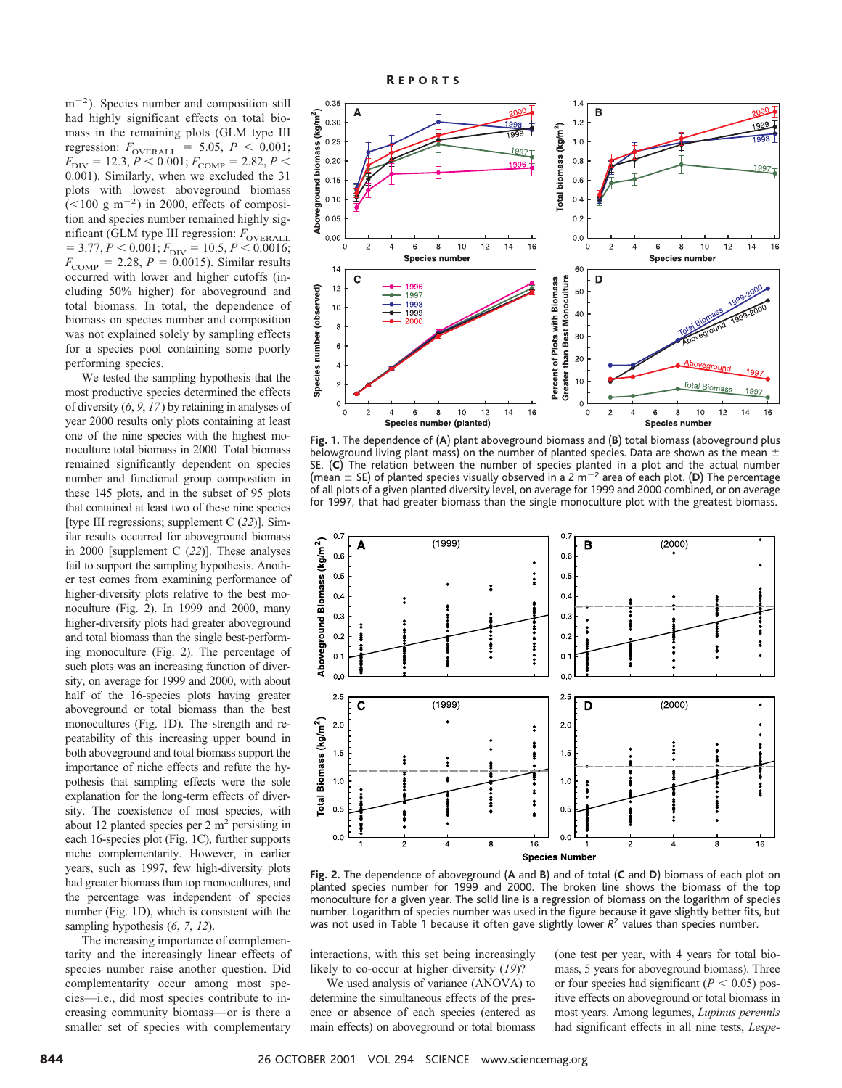$m^{-2}$ ). Species number and composition still had highly significant effects on total biomass in the remaining plots (GLM type III regression:  $F_{\text{overALL}} = 5.05, P < 0.001;$  $F_{\text{DIV}} = 12.3, P < 0.001; F_{\text{COMP}} = 2.82, P <$ 0.001). Similarly, when we excluded the 31 plots with lowest aboveground biomass  $(<100 \text{ g m}^{-2})$  in 2000, effects of composition and species number remained highly significant (GLM type III regression:  $F_{\text{overALL}}$  $= 3.77, P < 0.001; F<sub>DIV</sub> = 10.5, P < 0.0016;$  $F_{\text{COMP}} = 2.28, P = 0.0015$ . Similar results occurred with lower and higher cutoffs (including 50% higher) for aboveground and total biomass. In total, the dependence of biomass on species number and composition was not explained solely by sampling effects for a species pool containing some poorly performing species.

We tested the sampling hypothesis that the most productive species determined the effects of diversity (*6*, *9*, *17*) by retaining in analyses of year 2000 results only plots containing at least one of the nine species with the highest monoculture total biomass in 2000. Total biomass remained significantly dependent on species number and functional group composition in these 145 plots, and in the subset of 95 plots that contained at least two of these nine species [type III regressions; supplement C (*22*)]. Similar results occurred for aboveground biomass in 2000 [supplement C (*22*)]. These analyses fail to support the sampling hypothesis. Another test comes from examining performance of higher-diversity plots relative to the best monoculture (Fig. 2). In 1999 and 2000, many higher-diversity plots had greater aboveground and total biomass than the single best-performing monoculture (Fig. 2). The percentage of such plots was an increasing function of diversity, on average for 1999 and 2000, with about half of the 16-species plots having greater aboveground or total biomass than the best monocultures (Fig. 1D). The strength and repeatability of this increasing upper bound in both aboveground and total biomass support the importance of niche effects and refute the hypothesis that sampling effects were the sole explanation for the long-term effects of diversity. The coexistence of most species, with about 12 planted species per 2  $m<sup>2</sup>$  persisting in each 16-species plot (Fig. 1C), further supports niche complementarity. However, in earlier years, such as 1997, few high-diversity plots had greater biomass than top monocultures, and the percentage was independent of species number (Fig. 1D), which is consistent with the sampling hypothesis (*6*, *7*, *12*).

The increasing importance of complementarity and the increasingly linear effects of species number raise another question. Did complementarity occur among most species—i.e., did most species contribute to increasing community biomass—or is there a smaller set of species with complementary



**Fig. 1.** The dependence of (**A**) plant aboveground biomass and (**B**) total biomass (aboveground plus belowground living plant mass) on the number of planted species. Data are shown as the mean  $\pm$ SE. (C) The relation between the number of species planted in a plot and the actual number (and  $(2)$ ) the contribution contribution in the contribution of plants in a problem in the model of  $(2)$ . The percentage (mean  $\pm$  SE) of planted species visually observed in a 2 m<sup>-2</sup> area of each plot. (**D**) The perc of all plots of a given planted diversity level, on average for 1999 and 2000 combined, or on average for 1997, that had greater biomass than the single monoculture plot with the greatest biomass.



**Fig. 2.** The dependence of aboveground (**A** and **B**) and of total (**C** and **D**) biomass of each plot on planted species number for 1999 and 2000. The broken line shows the biomass of the top monoculture for a given year. The solid line is a regression of biomass on the logarithm of species number. Logarithm of species number was used in the figure because it gave slightly better fits, but was not used in Table 1 because it often gave slightly lower  $R^2$  values than species number.

interactions, with this set being increasingly likely to co-occur at higher diversity (*19*)?

We used analysis of variance (ANOVA) to determine the simultaneous effects of the presence or absence of each species (entered as main effects) on aboveground or total biomass

(one test per year, with 4 years for total biomass, 5 years for aboveground biomass). Three or four species had significant  $(P < 0.05)$  positive effects on aboveground or total biomass in most years. Among legumes, *Lupinus perennis* had significant effects in all nine tests, *Lespe-*